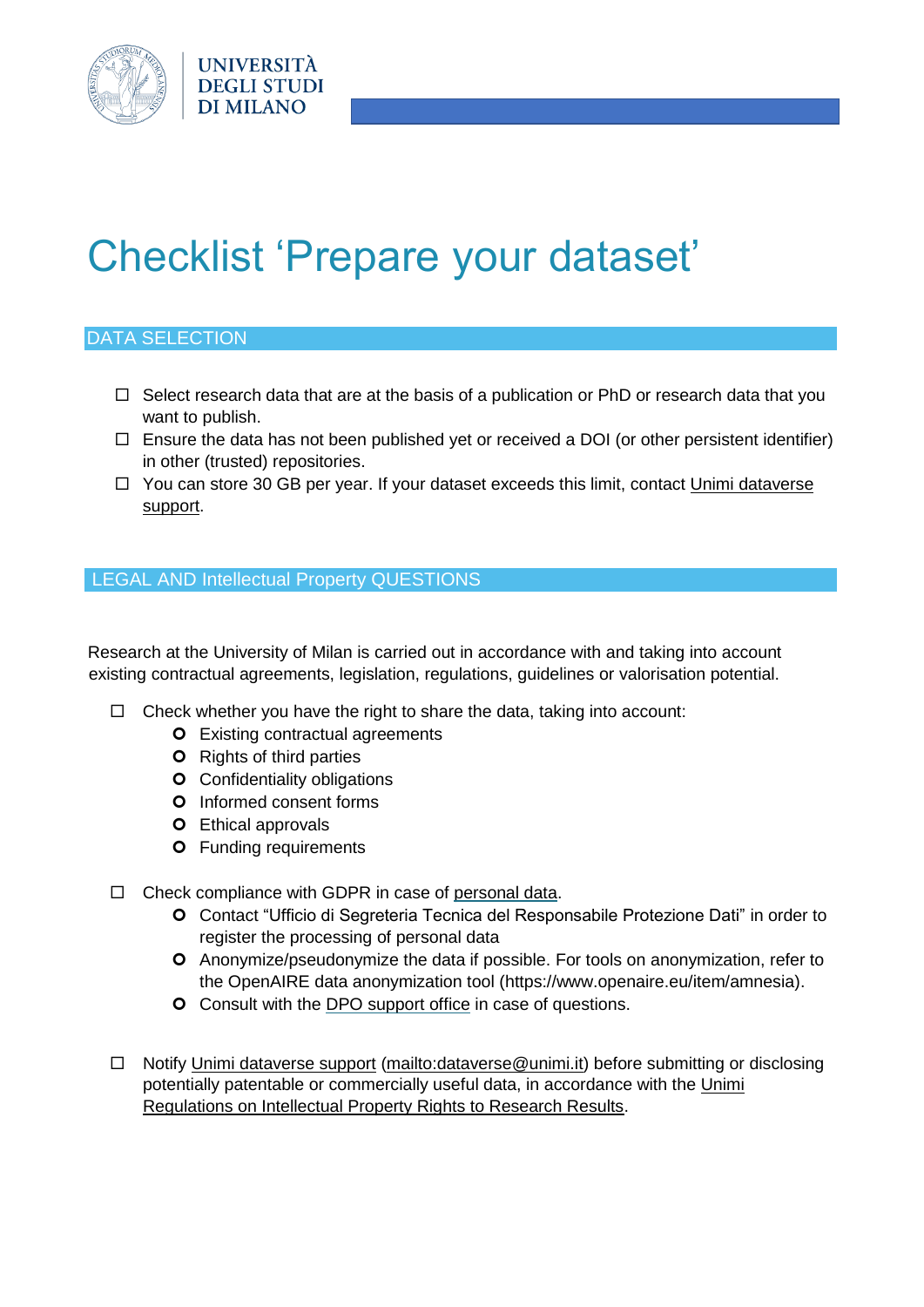

# Checklist 'Prepare your dataset'

## DATA SELECTION

- $\Box$  Select research data that are at the basis of a publication or PhD or research data that you want to publish.
- $\Box$  Ensure the data has not been published yet or received a DOI (or other persistent identifier) in other (trusted) repositories.
- $\Box$  You can store 30 GB per year. If your dataset exceeds this limit, contact Unimi dataverse [support](mailto:dataverse@unimi.it)[.](https://www.kuleuven.be/wieiswie/en/person/ue711187)

### LEGAL AND Intellectual Property QUESTIONS

Research at the University of Milan is carried out in accordance with and taking into account existing contractual agreements, legislation, regulations, guidelines or valorisation potential.

- $\Box$  Check whether you have the right to share the data, taking into account:
	- **O** Existing contractual agreements
	- **O** Rights of third parties
	- **O** Confidentiality obligations
	- **O** Informed consent forms
	- **O** Ethical approvals
	- **O** Funding requirements
- $\Box$  Check compliance with GDPR in case of [personal data](https://www.unimi.it/it/ateneo/normative/privacy)[.](https://www.kuleuven.be/english/research/associatienet/ethics/guidance/personaldata)
	- Contact "Ufficio di Segreteria Tecnica del Responsabile Protezione Dati" in order to register the processing of personal data
	- Anonymize/pseudonymize the data if possible. For tools on anonymization, refer to the OpenAIRE data anonymization tool (https://www.openaire.eu/item/amnesia).
	- **O** Consult with th[e](https://admin.kuleuven.be/privacy/en/contactform) [DPO support office](mailto:supportodpo@unimi.it) in case of questions.
- □ Notify [Unimi dataverse support](mailto:dataverse@unimi.it) [\(mailto:dataverse@unimi.it\)](mailto:dataverse@unimi.it) before submitting or disclosing potentially patentable or commercially useful data, in accordance with the [Unimi](https://www.unimi.it/it/ugov/ou-structure/ufficio-proprieta-intellettuale)  [Regulations on Intellectual Property Rights to Research Results.](https://www.unimi.it/it/ugov/ou-structure/ufficio-proprieta-intellettuale)